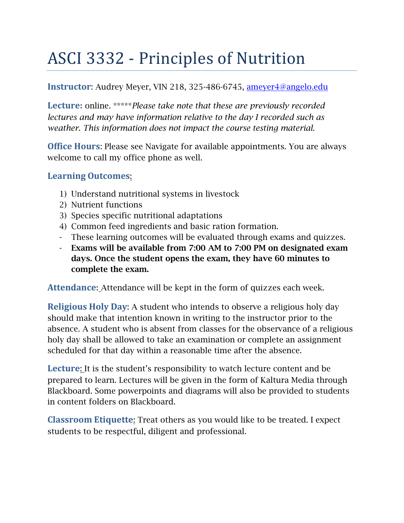# ASCI 3332 - Principles of Nutrition

# **Instructor**: Audrey Meyer, VIN 218, 325-486-6745, [ameyer4@angelo.edu](mailto:ameyer4@angelo.edu)

**Lecture:** online. \*\*\*\*\**Please take note that these are previously recorded lectures and may have information relative to the day I recorded such as weather. This information does not impact the course testing material.*

**Office Hours**: Please see Navigate for available appointments. You are always welcome to call my office phone as well.

## **Learning Outcomes**:

- 1) Understand nutritional systems in livestock
- 2) Nutrient functions
- 3) Species specific nutritional adaptations
- 4) Common feed ingredients and basic ration formation.
- These learning outcomes will be evaluated through exams and quizzes.
- Exams will be available from 7:00 AM to 7:00 PM on designated exam days. Once the student opens the exam, they have 60 minutes to complete the exam.

**Attendance:** Attendance will be kept in the form of quizzes each week.

**Religious Holy Day**: A student who intends to observe a religious holy day should make that intention known in writing to the instructor prior to the absence. A student who is absent from classes for the observance of a religious holy day shall be allowed to take an examination or complete an assignment scheduled for that day within a reasonable time after the absence.

**Lecture**: It is the student's responsibility to watch lecture content and be prepared to learn. Lectures will be given in the form of Kaltura Media through Blackboard. Some powerpoints and diagrams will also be provided to students in content folders on Blackboard.

**Classroom Etiquette**: Treat others as you would like to be treated. I expect students to be respectful, diligent and professional.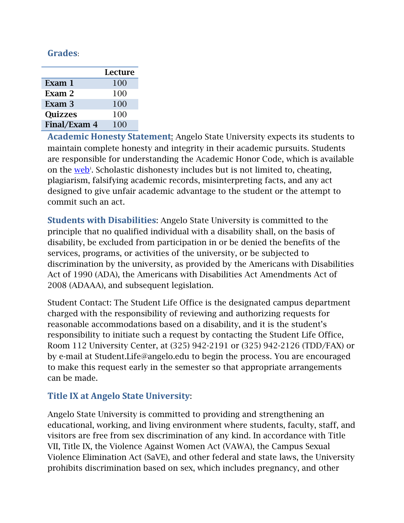## **Grades**:

|                | Lecture |
|----------------|---------|
| Exam 1         | 100     |
| Exam 2         | 100     |
| Exam 3         | 100     |
| <b>Ouizzes</b> | 100     |
| Final/Exam 4   | 100     |

**Academic Honesty Statement**: Angelo State University expects its students to maintain complete honesty and integrity in their academic pursuits. Students are responsible for understanding the Academic Honor Code, which is available on the <u>web</u><sup>i</sup>. Scholastic dishonesty includes but is not limited to, cheating, plagiarism, falsifying academic records, misinterpreting facts, and any act designed to give unfair academic advantage to the student or the attempt to commit such an act.

**Students with Disabilities**: Angelo State University is committed to the principle that no qualified individual with a disability shall, on the basis of disability, be excluded from participation in or be denied the benefits of the services, programs, or activities of the university, or be subjected to discrimination by the university, as provided by the Americans with Disabilities Act of 1990 (ADA), the Americans with Disabilities Act Amendments Act of 2008 (ADAAA), and subsequent legislation.

Student Contact: The Student Life Office is the designated campus department charged with the responsibility of reviewing and authorizing requests for reasonable accommodations based on a disability, and it is the student's responsibility to initiate such a request by contacting the Student Life Office, Room 112 University Center, at (325) 942-2191 or (325) 942-2126 (TDD/FAX) or by e-mail at Student.Life@angelo.edu to begin the process. You are encouraged to make this request early in the semester so that appropriate arrangements can be made.

## **Title IX at Angelo State University**:

Angelo State University is committed to providing and strengthening an educational, working, and living environment where students, faculty, staff, and visitors are free from sex discrimination of any kind. In accordance with Title VII, Title IX, the Violence Against Women Act (VAWA), the Campus Sexual Violence Elimination Act (SaVE), and other federal and state laws, the University prohibits discrimination based on sex, which includes pregnancy, and other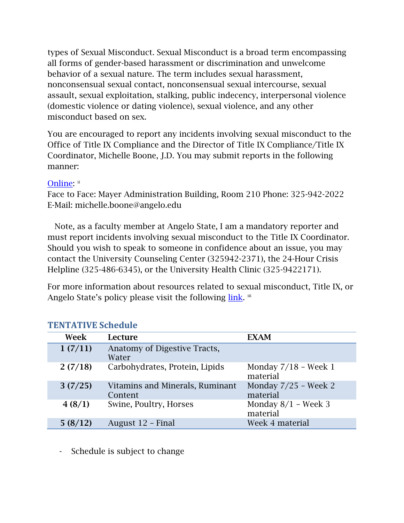types of Sexual Misconduct. Sexual Misconduct is a broad term encompassing all forms of gender-based harassment or discrimination and unwelcome behavior of a sexual nature. The term includes sexual harassment, nonconsensual sexual contact, nonconsensual sexual intercourse, sexual assault, sexual exploitation, stalking, public indecency, interpersonal violence (domestic violence or dating violence), sexual violence, and any other misconduct based on sex.

You are encouraged to report any incidents involving sexual misconduct to the Office of Title IX Compliance and the Director of Title IX Compliance/Title IX Coordinator, Michelle Boone, J.D. You may submit reports in the following manner:

#### [Online:](http://www.angelo.edu/incident-form) [ii](#page-3-1)

Face to Face: Mayer Administration Building, Room 210 Phone: 325-942-2022 E-Mail: michelle.boone@angelo.edu

 Note, as a faculty member at Angelo State, I am a mandatory reporter and must report incidents involving sexual misconduct to the Title IX Coordinator. Should you wish to speak to someone in confidence about an issue, you may contact the University Counseling Center (325942-2371), the 24-Hour Crisis Helpline (325-486-6345), or the University Health Clinic (325-9422171).

For more information about resources related to sexual misconduct, Title IX, or Angelo State's policy please visit the following [link.](http://www.angelo.edu/title-ix.) [iii](#page-3-2)

| Week    | Lecture                                    | <b>EXAM</b>                        |
|---------|--------------------------------------------|------------------------------------|
| 1(7/11) | Anatomy of Digestive Tracts,<br>Water      |                                    |
| 2(7/18) | Carbohydrates, Protein, Lipids             | Monday $7/18$ - Week 1<br>material |
| 3(7/25) | Vitamins and Minerals, Ruminant<br>Content | Monday $7/25$ - Week 2<br>material |
| 4(8/1)  | Swine, Poultry, Horses                     | Monday $8/1$ – Week 3<br>material  |
| 5(8/12) | August 12 - Final                          | Week 4 material                    |

#### **TENTATIVE Schedule**

- Schedule is subject to change